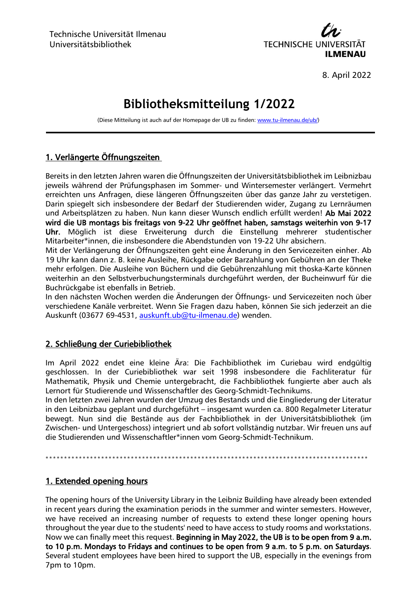

8. April 2022

# **Bibliotheksmitteilung 1/2022**

(Diese Mitteilung ist auch auf der Homepage der UB zu finden[: www.tu-ilmenau.de/ub/\)](http://www.tu-ilmenau.de/ub/)

## 1. Verlängerte Öffnungszeiten

Bereits in den letzten Jahren waren die Öffnungszeiten der Universitätsbibliothek im Leibnizbau jeweils während der Prüfungsphasen im Sommer- und Wintersemester verlängert. Vermehrt erreichten uns Anfragen, diese längeren Öffnungszeiten über das ganze Jahr zu verstetigen. Darin spiegelt sich insbesondere der Bedarf der Studierenden wider, Zugang zu Lernräumen und Arbeitsplätzen zu haben. Nun kann dieser Wunsch endlich erfüllt werden! Ab Mai 2022 wird die UB montags bis freitags von 9-22 Uhr geöffnet haben, samstags weiterhin von 9-17 Uhr. Möglich ist diese Erweiterung durch die Einstellung mehrerer studentischer Mitarbeiter\*innen, die insbesondere die Abendstunden von 19-22 Uhr absichern.

Mit der Verlängerung der Öffnungszeiten geht eine Änderung in den Servicezeiten einher. Ab 19 Uhr kann dann z. B. keine Ausleihe, Rückgabe oder Barzahlung von Gebühren an der Theke mehr erfolgen. Die Ausleihe von Büchern und die Gebührenzahlung mit thoska-Karte können weiterhin an den Selbstverbuchungsterminals durchgeführt werden, der Bucheinwurf für die Buchrückgabe ist ebenfalls in Betrieb.

In den nächsten Wochen werden die Änderungen der Öffnungs- und Servicezeiten noch über verschiedene Kanäle verbreitet. Wenn Sie Fragen dazu haben, können Sie sich jederzeit an die Auskunft (03677 69-4531, [auskunft.ub@tu-ilmenau.de\)](mailto:auskunft.ub@tu-ilmenau.de) wenden.

#### 2. Schließung der Curiebibliothek

Im April 2022 endet eine kleine Ära: Die Fachbibliothek im Curiebau wird endgültig geschlossen. In der Curiebibliothek war seit 1998 insbesondere die Fachliteratur für Mathematik, Physik und Chemie untergebracht, die Fachbibliothek fungierte aber auch als Lernort für Studierende und Wissenschaftler des Georg-Schmidt-Technikums.

In den letzten zwei Jahren wurden der Umzug des Bestands und die Eingliederung der Literatur in den Leibnizbau geplant und durchgeführt – insgesamt wurden ca. 800 Regalmeter Literatur bewegt. Nun sind die Bestände aus der Fachbibliothek in der Universitätsbibliothek (im Zwischen- und Untergeschoss) integriert und ab sofort vollständig nutzbar. Wir freuen uns auf die Studierenden und Wissenschaftler\*innen vom Georg-Schmidt-Technikum.

\*\*\*\*\*\*\*\*\*\*\*\*\*\*\*\*\*\*\*\*\*\*\*\*\*\*\*\*\*\*\*\*\*\*\*\*\*\*\*\*\*\*\*\*\*\*\*\*\*\*\*\*\*\*\*\*\*\*\*\*\*\*\*\*\*\*\*\*\*\*\*\*\*\*\*\*\*\*\*\*\*\*\*\*\* \* \*

#### 1. Extended opening hours

The opening hours of the University Library in the Leibniz Building have already been extended in recent years during the examination periods in the summer and winter semesters. However, we have received an increasing number of requests to extend these longer opening hours throughout the year due to the students' need to have access to study rooms and workstations. Now we can finally meet this request. Beginning in May 2022, the UB is to be open from 9 a.m. to 10 p.m. Mondays to Fridays and continues to be open from 9 a.m. to 5 p.m. on Saturdays. Several student employees have been hired to support the UB, especially in the evenings from 7pm to 10pm.